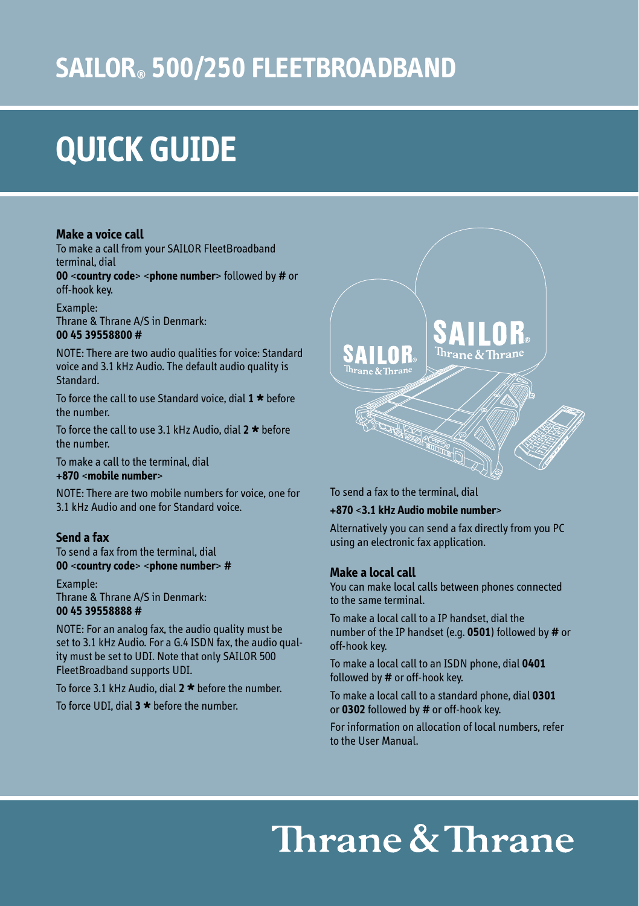### **SAILOR® 500/250 FleetBroadband**

## **Quick Guide**

#### **Make a voice call**

To make a call from your SAILOR FleetBroadband terminal, dial

**00** <**country code**> <**phone number**> followed by **#** or off-hook key.

Example: Thrane & Thrane A/S in Denmark: **00 45 39558800 #**

NOTE: There are two audio qualities for voice: Standard voice and 3.1 kHz Audio. The default audio quality is Standard.

To force the call to use Standard voice, dial **1 \*** before the number.

To force the call to use 3.1 kHz Audio, dial **2 \*** before the number.

To make a call to the terminal, dial **+870** <**mobile number**>

NOTE: There are two mobile numbers for voice, one for 3.1 kHz Audio and one for Standard voice.

#### **Send a fax**

To send a fax from the terminal, dial **00** <**country code**> <**phone number**> **#**

Example: Thrane & Thrane A/S in Denmark: **00 45 39558888 #**

NOTE: For an analog fax, the audio quality must be set to 3.1 kHz Audio. For a G.4 ISDN fax, the audio quality must be set to UDI. Note that only SAILOR 500 FleetBroadband supports UDI.

To force 3.1 kHz Audio, dial **2 \*** before the number. To force UDI, dial **3 \*** before the number.



To send a fax to the terminal, dial

#### **+870** <**3.1 kHz Audio mobile number**>

Alternatively you can send a fax directly from you PC using an electronic fax application.

#### **Make a local call**

You can make local calls between phones connected to the same terminal.

To make a local call to a IP handset, dial the number of the IP handset (e.g. **0501**) followed by **#** or off-hook key.

To make a local call to an ISDN phone, dial **0401** followed by **#** or off-hook key.

To make a local call to a standard phone, dial **0301** or **0302** followed by **#** or off-hook key.

For information on allocation of local numbers, refer to the User Manual.

# Thrane & Thrane